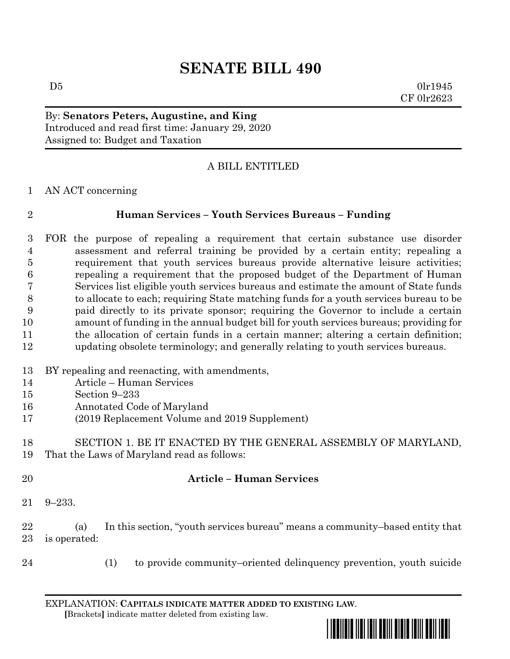# **SENATE BILL 490**

 $D5$  0lr1945 CF 0lr2623

### By: **Senators Peters, Augustine, and King** Introduced and read first time: January 29, 2020 Assigned to: Budget and Taxation

## A BILL ENTITLED

AN ACT concerning

### **Human Services – Youth Services Bureaus – Funding**

 FOR the purpose of repealing a requirement that certain substance use disorder assessment and referral training be provided by a certain entity; repealing a requirement that youth services bureaus provide alternative leisure activities; repealing a requirement that the proposed budget of the Department of Human Services list eligible youth services bureaus and estimate the amount of State funds to allocate to each; requiring State matching funds for a youth services bureau to be paid directly to its private sponsor; requiring the Governor to include a certain amount of funding in the annual budget bill for youth services bureaus; providing for 11 the allocation of certain funds in a certain manner; altering a certain definition; updating obsolete terminology; and generally relating to youth services bureaus.

- BY repealing and reenacting, with amendments,
- Article Human Services
- Section 9–233
- Annotated Code of Maryland
- (2019 Replacement Volume and 2019 Supplement)

 SECTION 1. BE IT ENACTED BY THE GENERAL ASSEMBLY OF MARYLAND, That the Laws of Maryland read as follows:

### **Article – Human Services**

9–233.

 (a) In this section, "youth services bureau" means a community–based entity that is operated:

- 
- (1) to provide community–oriented delinquency prevention, youth suicide

EXPLANATION: **CAPITALS INDICATE MATTER ADDED TO EXISTING LAW**.  **[**Brackets**]** indicate matter deleted from existing law.

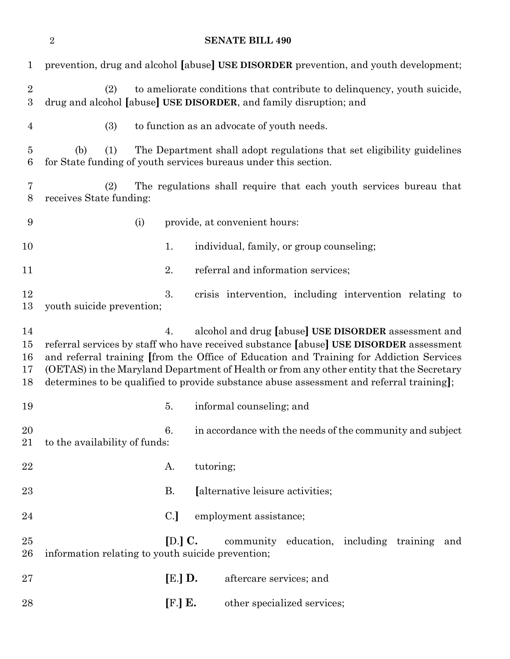| $\mathbf{1}$                       | prevention, drug and alcohol [abuse] USE DISORDER prevention, and youth development;                                                                                                                                                                                                                                                                                                                                                    |
|------------------------------------|-----------------------------------------------------------------------------------------------------------------------------------------------------------------------------------------------------------------------------------------------------------------------------------------------------------------------------------------------------------------------------------------------------------------------------------------|
| $\sqrt{2}$<br>3                    | to ameliorate conditions that contribute to delinquency, youth suicide,<br>(2)<br>drug and alcohol [abuse] USE DISORDER, and family disruption; and                                                                                                                                                                                                                                                                                     |
| 4                                  | (3)<br>to function as an advocate of youth needs.                                                                                                                                                                                                                                                                                                                                                                                       |
| $\overline{5}$<br>$\boldsymbol{6}$ | (1)<br>The Department shall adopt regulations that set eligibility guidelines<br>(b)<br>for State funding of youth services bureaus under this section.                                                                                                                                                                                                                                                                                 |
| 7<br>8                             | The regulations shall require that each youth services bureau that<br>(2)<br>receives State funding:                                                                                                                                                                                                                                                                                                                                    |
| 9                                  | provide, at convenient hours:<br>(i)                                                                                                                                                                                                                                                                                                                                                                                                    |
| 10                                 | individual, family, or group counseling;<br>1.                                                                                                                                                                                                                                                                                                                                                                                          |
| 11                                 | referral and information services;<br>2.                                                                                                                                                                                                                                                                                                                                                                                                |
| 12<br>13                           | 3.<br>crisis intervention, including intervention relating to<br>youth suicide prevention;                                                                                                                                                                                                                                                                                                                                              |
| 14<br>15<br>16<br>17<br>18         | alcohol and drug [abuse] USE DISORDER assessment and<br>4.<br>referral services by staff who have received substance [abuse] USE DISORDER assessment<br>and referral training [from the Office of Education and Training for Addiction Services<br>(OETAS) in the Maryland Department of Health or from any other entity that the Secretary<br>determines to be qualified to provide substance abuse assessment and referral training]; |
| 19                                 | informal counseling; and<br>5.                                                                                                                                                                                                                                                                                                                                                                                                          |
| 20<br>21                           | 6.<br>in accordance with the needs of the community and subject<br>to the availability of funds:                                                                                                                                                                                                                                                                                                                                        |
| $\bf 22$                           | tutoring;<br>А.                                                                                                                                                                                                                                                                                                                                                                                                                         |
| 23                                 | В.<br>[alternative leisure activities;                                                                                                                                                                                                                                                                                                                                                                                                  |
| 24                                 | C.<br>employment assistance;                                                                                                                                                                                                                                                                                                                                                                                                            |
| 25<br>26                           | $[D.]\,C.$<br>community education, including training and<br>information relating to youth suicide prevention;                                                                                                                                                                                                                                                                                                                          |
| 27                                 | $[E.]$ D.<br>aftercare services; and                                                                                                                                                                                                                                                                                                                                                                                                    |
| 28                                 | [F.] E.<br>other specialized services;                                                                                                                                                                                                                                                                                                                                                                                                  |

**SENATE BILL 490**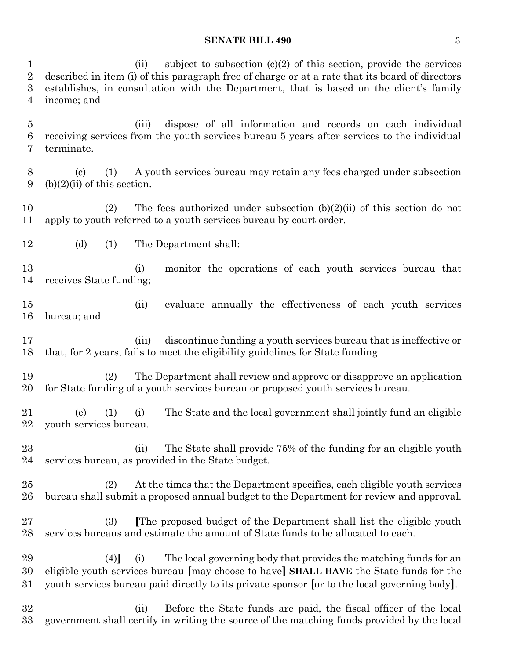### **SENATE BILL 490** 3

1 (ii) subject to subsection  $(c)(2)$  of this section, provide the services described in item (i) of this paragraph free of charge or at a rate that its board of directors establishes, in consultation with the Department, that is based on the client's family income; and (iii) dispose of all information and records on each individual receiving services from the youth services bureau 5 years after services to the individual terminate. (c) (1) A youth services bureau may retain any fees charged under subsection 9 (b) $(2)(ii)$  of this section. 10 (2) The fees authorized under subsection  $(b)(2)(ii)$  of this section do not apply to youth referred to a youth services bureau by court order. (d) (1) The Department shall: (i) monitor the operations of each youth services bureau that receives State funding; (ii) evaluate annually the effectiveness of each youth services bureau; and (iii) discontinue funding a youth services bureau that is ineffective or that, for 2 years, fails to meet the eligibility guidelines for State funding. (2) The Department shall review and approve or disapprove an application for State funding of a youth services bureau or proposed youth services bureau. (e) (1) (i) The State and the local government shall jointly fund an eligible youth services bureau. (ii) The State shall provide 75% of the funding for an eligible youth services bureau, as provided in the State budget. (2) At the times that the Department specifies, each eligible youth services bureau shall submit a proposed annual budget to the Department for review and approval. (3) **[**The proposed budget of the Department shall list the eligible youth services bureaus and estimate the amount of State funds to be allocated to each. (4)**]** (i) The local governing body that provides the matching funds for an eligible youth services bureau **[**may choose to have**] SHALL HAVE** the State funds for the youth services bureau paid directly to its private sponsor **[**or to the local governing body**]**. (ii) Before the State funds are paid, the fiscal officer of the local government shall certify in writing the source of the matching funds provided by the local